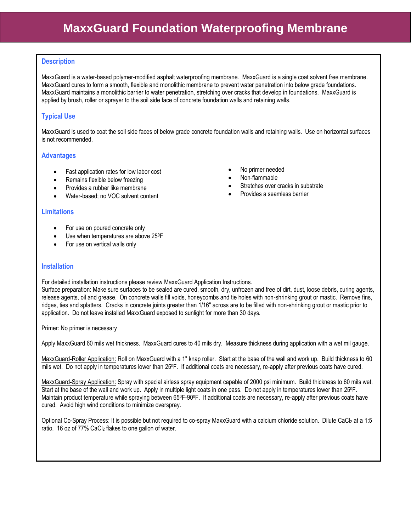## **Description**

MaxxGuard is a water-based polymer-modified asphalt waterproofing membrane. MaxxGuard is a single coat solvent free membrane. MaxxGuard cures to form a smooth, flexible and monolithic membrane to prevent water penetration into below grade foundations. MaxxGuard maintains a monolithic barrier to water penetration, stretching over cracks that develop in foundations. MaxxGuard is applied by brush, roller or sprayer to the soil side face of concrete foundation walls and retaining walls.

# **Typical Use**

MaxxGuard is used to coat the soil side faces of below grade concrete foundation walls and retaining walls. Use on horizontal surfaces is not recommended.

### **Advantages**

- Fast application rates for low labor cost
- Remains flexible below freezing
- Provides a rubber like membrane
- Water-based; no VOC solvent content
- No primer needed
- Non-flammable
- Stretches over cracks in substrate
- Provides a seamless barrier

### **Limitations**

- For use on poured concrete only
- Use when temperatures are above 25°F
- For use on vertical walls only

#### **Installation**

For detailed installation instructions please review MaxxGuard Application Instructions.

Surface preparation: Make sure surfaces to be sealed are cured, smooth, dry, unfrozen and free of dirt, dust, loose debris, curing agents, release agents, oil and grease. On concrete walls fill voids, honeycombs and tie holes with non-shrinking grout or mastic. Remove fins, ridges, ties and splatters. Cracks in concrete joints greater than 1/16" across are to be filled with non-shrinking grout or mastic prior to application. Do not leave installed MaxxGuard exposed to sunlight for more than 30 days.

Primer: No primer is necessary

Apply MaxxGuard 60 mils wet thickness. MaxxGuard cures to 40 mils dry. Measure thickness during application with a wet mil gauge.

MaxxGuard-Roller Application: Roll on MaxxGuard with a 1" knap roller. Start at the base of the wall and work up. Build thickness to 60 mils wet. Do not apply in temperatures lower than 25°F. If additional coats are necessary, re-apply after previous coats have cured.

MaxxGuard-Spray Application: Spray with special airless spray equipment capable of 2000 psi minimum. Build thickness to 60 mils wet. Start at the base of the wall and work up. Apply in multiple light coats in one pass. Do not apply in temperatures lower than 250F. Maintain product temperature while spraying between 65ºF-90ºF. If additional coats are necessary, re-apply after previous coats have cured. Avoid high wind conditions to minimize overspray.

Optional Co-Spray Process: It is possible but not required to co-spray MaxxGuard with a calcium chloride solution. Dilute CaCl<sup>2</sup> at a 1:5 ratio. 16 oz of 77% CaCl<sub>2</sub> flakes to one gallon of water.